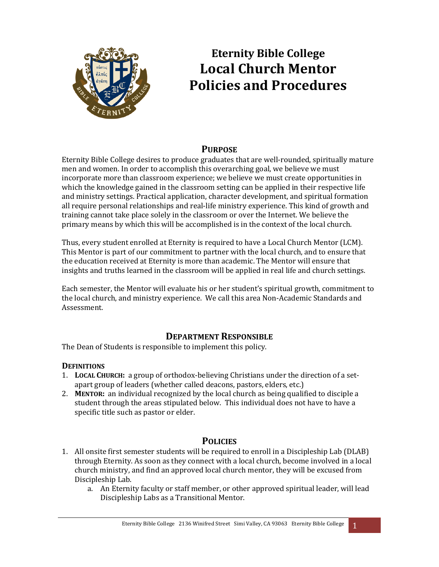

# **Eternity Bible College Local Church Mentor Policies and Procedures**

# **PURPOSE**

Eternity Bible College desires to produce graduates that are well-rounded, spiritually mature men and women. In order to accomplish this overarching goal, we believe we must incorporate more than classroom experience; we believe we must create opportunities in which the knowledge gained in the classroom setting can be applied in their respective life and ministry settings. Practical application, character development, and spiritual formation all require personal relationships and real-life ministry experience. This kind of growth and training cannot take place solely in the classroom or over the Internet. We believe the primary means by which this will be accomplished is in the context of the local church.

Thus, every student enrolled at Eternity is required to have a Local Church Mentor (LCM). This Mentor is part of our commitment to partner with the local church, and to ensure that the education received at Eternity is more than academic. The Mentor will ensure that insights and truths learned in the classroom will be applied in real life and church settings.

Each semester, the Mentor will evaluate his or her student's spiritual growth, commitment to the local church, and ministry experience. We call this area Non-Academic Standards and Assessment.

# **DEPARTMENT RESPONSIBLE**

The Dean of Students is responsible to implement this policy.

# **DEFINITIONS**

- 1. **LOCAL CHURCH:** a group of orthodox-believing Christians under the direction of a setapart group of leaders (whether called deacons, pastors, elders, etc.)
- 2. **MENTOR:** an individual recognized by the local church as being qualified to disciple a student through the areas stipulated below. This individual does not have to have a specific title such as pastor or elder.

# **POLICIES**

- 1. All onsite first semester students will be required to enroll in a Discipleship Lab (DLAB) through Eternity. As soon as they connect with a local church, become involved in a local church ministry, and find an approved local church mentor, they will be excused from Discipleship Lab.
	- a. An Eternity faculty or staff member, or other approved spiritual leader, will lead Discipleship Labs as a Transitional Mentor.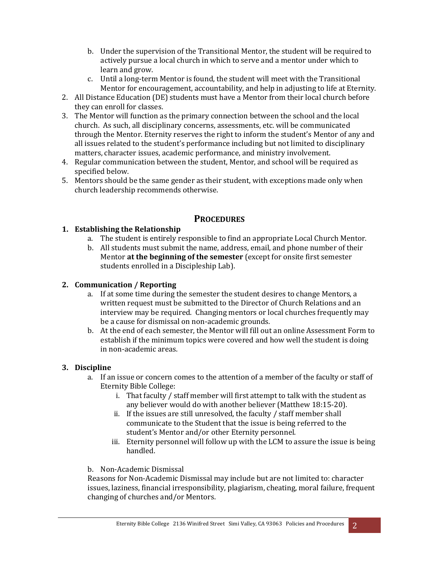- b. Under the supervision of the Transitional Mentor, the student will be required to actively pursue a local church in which to serve and a mentor under which to learn and grow.
- c. Until a long-term Mentor is found, the student will meet with the Transitional Mentor for encouragement, accountability, and help in adjusting to life at Eternity.
- 2. All Distance Education (DE) students must have a Mentor from their local church before they can enroll for classes.
- 3. The Mentor will function as the primary connection between the school and the local church. As such, all disciplinary concerns, assessments, etc. will be communicated through the Mentor. Eternity reserves the right to inform the student's Mentor of any and all issues related to the student's performance including but not limited to disciplinary matters, character issues, academic performance, and ministry involvement.
- 4. Regular communication between the student, Mentor, and school will be required as specified below.
- 5. Mentors should be the same gender as their student, with exceptions made only when church leadership recommends otherwise.

# **PROCEDURES**

## **1.** Establishing the Relationship

- a. The student is entirely responsible to find an appropriate Local Church Mentor.
- b. All students must submit the name, address, email, and phone number of their Mentor **at the beginning of the semester** (except for onsite first semester students enrolled in a Discipleship Lab).

## **2. Communication / Reporting**

- a. If at some time during the semester the student desires to change Mentors, a written request must be submitted to the Director of Church Relations and an interview may be required. Changing mentors or local churches frequently may be a cause for dismissal on non-academic grounds.
- b. At the end of each semester, the Mentor will fill out an online Assessment Form to establish if the minimum topics were covered and how well the student is doing in non-academic areas.

## **3. Discipline**

- a. If an issue or concern comes to the attention of a member of the faculty or staff of Eternity Bible College:
	- i. That faculty / staff member will first attempt to talk with the student as any believer would do with another believer (Matthew 18:15-20).
	- ii. If the issues are still unresolved, the faculty  $/$  staff member shall communicate to the Student that the issue is being referred to the student's Mentor and/or other Eternity personnel.
	- iii. Eternity personnel will follow up with the LCM to assure the issue is being handled.

## b. Non-Academic Dismissal

Reasons for Non-Academic Dismissal may include but are not limited to: character issues, laziness, financial irresponsibility, plagiarism, cheating, moral failure, frequent changing of churches and/or Mentors.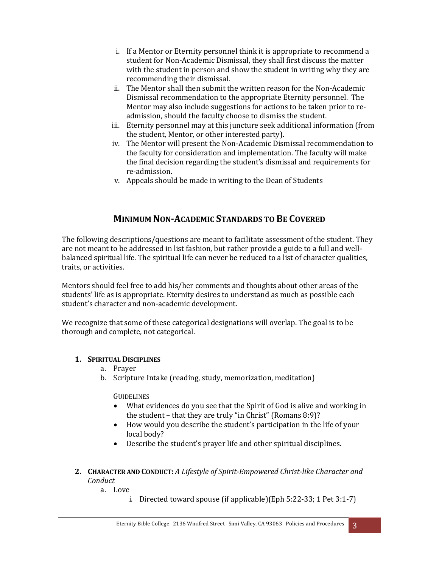- i. If a Mentor or Eternity personnel think it is appropriate to recommend a student for Non-Academic Dismissal, they shall first discuss the matter with the student in person and show the student in writing why they are recommending their dismissal.
- ii. The Mentor shall then submit the written reason for the Non-Academic Dismissal recommendation to the appropriate Eternity personnel. The Mentor may also include suggestions for actions to be taken prior to readmission, should the faculty choose to dismiss the student.
- iii. Eternity personnel may at this juncture seek additional information (from the student, Mentor, or other interested party).
- iv. The Mentor will present the Non-Academic Dismissal recommendation to the faculty for consideration and implementation. The faculty will make the final decision regarding the student's dismissal and requirements for re-admission.
- v. Appeals should be made in writing to the Dean of Students

# **MINIMUM NON-ACADEMIC STANDARDS TO BE COVERED**

The following descriptions/questions are meant to facilitate assessment of the student. They are not meant to be addressed in list fashion, but rather provide a guide to a full and wellbalanced spiritual life. The spiritual life can never be reduced to a list of character qualities, traits, or activities.

Mentors should feel free to add his/her comments and thoughts about other areas of the students' life as is appropriate. Eternity desires to understand as much as possible each student's character and non-academic development.

We recognize that some of these categorical designations will overlap. The goal is to be thorough and complete, not categorical.

#### **1. SPIRITUAL DISCIPLINES**

- a. Prayer
- b. Scripture Intake (reading, study, memorization, meditation)

GUIDELINES

- What evidences do you see that the Spirit of God is alive and working in the student  $-$  that they are truly "in Christ" (Romans 8:9)?
- How would you describe the student's participation in the life of your local body?
- Describe the student's prayer life and other spiritual disciplines.
- **2. CHARACTER AND CONDUCT:** *A Lifestyle of Spirit-Empowered Christ-like Character and Conduct*
	- a. Love
		- i. Directed toward spouse (if applicable)(Eph  $5:22-33$ ; 1 Pet  $3:1-7$ )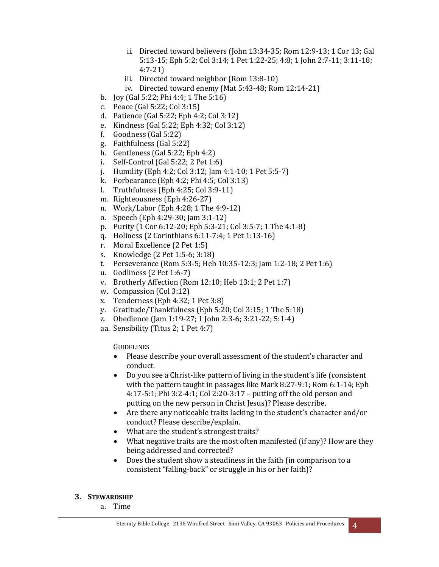- ii. Directed toward believers (John 13:34-35; Rom 12:9-13; 1 Cor 13; Gal 5:13-15; Eph 5:2; Col 3:14; 1 Pet 1:22-25; 4:8; 1 John 2:7-11; 3:11-18; 4:7-21)
- iii. Directed toward neighbor (Rom 13:8-10)
- iv. Directed toward enemy (Mat  $5:43-48$ ; Rom  $12:14-21$ )
- b. Joy (Gal  $5:22$ ; Phi  $4:4$ ; 1 The  $5:16$ )
- c. Peace (Gal 5:22; Col 3:15)
- d. Patience  $\left($  Gal 5:22; Eph 4:2; Col 3:12)
- e. Kindness (Gal 5:22; Eph 4:32; Col 3:12)
- f. Goodness  $(Gal 5:22)$
- g. Faithfulness (Gal 5:22)
- h. Gentleness (Gal  $5:22$ ; Eph  $4:2$ )
- i. Self-Control (Gal  $5:22$ ; 2 Pet  $1:6$ )
- j. Humility (Eph 4:2; Col 3:12; Jam 4:1-10; 1 Pet 5:5-7)
- k. Forbearance  $(Eph 4:2; Phi 4:5; Col 3:13)$
- l. Truthfulness  $(Eph 4:25; Col 3:9-11)$
- m. Righteousness (Eph 4:26-27)
- n. Work/Labor (Eph 4:28; 1 The 4:9-12)
- o. Speech (Eph 4:29-30; Jam 3:1-12)
- p. Purity (1 Cor 6:12-20; Eph 5:3-21; Col 3:5-7; 1 The 4:1-8)
- q. Holiness (2 Corinthians 6:11-7:4; 1 Pet 1:13-16)
- r. Moral Excellence (2 Pet 1:5)
- s. Knowledge (2 Pet 1:5-6; 3:18)
- t. Perseverance (Rom 5:3-5; Heb 10:35-12:3; Jam 1:2-18; 2 Pet 1:6)
- u. Godliness  $(2$  Pet  $1:6-7)$
- v. Brotherly Affection (Rom 12:10; Heb 13:1; 2 Pet 1:7)
- w. Compassion (Col 3:12)
- x. Tenderness  $(Eph 4:32:1 Pet 3:8)$
- y. Gratitude/Thankfulness (Eph 5:20; Col 3:15; 1 The 5:18)
- z. Obedience (Jam 1:19-27; 1 John 2:3-6; 3:21-22; 5:1-4)
- aa. Sensibility (Titus 2; 1 Pet 4:7)

**GUIDELINES** 

- Please describe your overall assessment of the student's character and conduct.
- Do you see a Christ-like pattern of living in the student's life (consistent with the pattern taught in passages like Mark 8:27-9:1; Rom 6:1-14;  $Eph$ 4:17-5:1; Phi 3:2-4:1; Col 2:20-3:17 - putting off the old person and putting on the new person in Christ Jesus)? Please describe.
- Are there any noticeable traits lacking in the student's character and/or conduct? Please describe/explain.
- What are the student's strongest traits?
- What negative traits are the most often manifested (if any)? How are they being addressed and corrected?
- Does the student show a steadiness in the faith (in comparison to a consistent "falling-back" or struggle in his or her faith)?

#### **3. STEWARDSHIP**

a. Time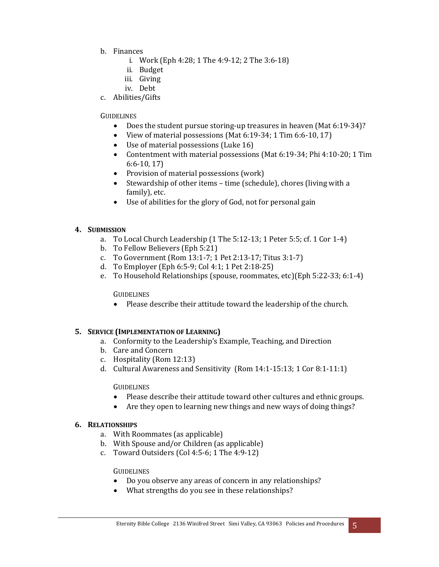- b. Finances
	- i. Work (Eph  $4:28$ ; 1 The  $4:9-12$ ; 2 The  $3:6-18$ )
	- ii. Budget
	- iii. Giving
	- iv. Debt
- c. Abilities/Gifts

#### **GUIDELINES**

- Does the student pursue storing-up treasures in heaven (Mat 6:19-34)?
- View of material possessions (Mat  $6:19-34$ ; 1 Tim  $6:6-10, 17$ )
- Use of material possessions (Luke 16)
- Contentment with material possessions (Mat 6:19-34; Phi 4:10-20; 1 Tim  $6:6-10, 17$
- Provision of material possessions  $(work)$
- Stewardship of other items  $-$  time (schedule), chores (living with a family), etc.
- Use of abilities for the glory of God, not for personal gain

#### **4. SUBMISSION**

- a. To Local Church Leadership  $(1$  The  $5:12-13$ ; 1 Peter  $5:5$ ; cf. 1 Cor 1-4)
- b. To Fellow Believers (Eph 5:21)
- c. To Government (Rom 13:1-7; 1 Pet 2:13-17; Titus 3:1-7)
- d. To Employer (Eph 6:5-9; Col 4:1; 1 Pet 2:18-25)
- e. To Household Relationships (spouse, roommates, etc)(Eph 5:22-33; 6:1-4)

## **GUIDELINES**

• Please describe their attitude toward the leadership of the church.

## **5. SERVICE (IMPLEMENTATION OF LEARNING)**

- a. Conformity to the Leadership's Example, Teaching, and Direction
- b. Care and Concern
- c. Hospitality (Rom 12:13)
- d. Cultural Awareness and Sensitivity (Rom  $14:1-15:13$ ; 1 Cor  $8:1-11:1$ )

#### **GUIDELINES**

- Please describe their attitude toward other cultures and ethnic groups.
- Are they open to learning new things and new ways of doing things?

## **6. RELATIONSHIPS**

- a. With Roommates (as applicable)
- b. With Spouse and/or Children (as applicable)
- c. Toward Outsiders  $\left[$  Col 4:5-6; 1 The 4:9-12)

#### **GUIDELINES**

- Do you observe any areas of concern in any relationships?
- What strengths do you see in these relationships?